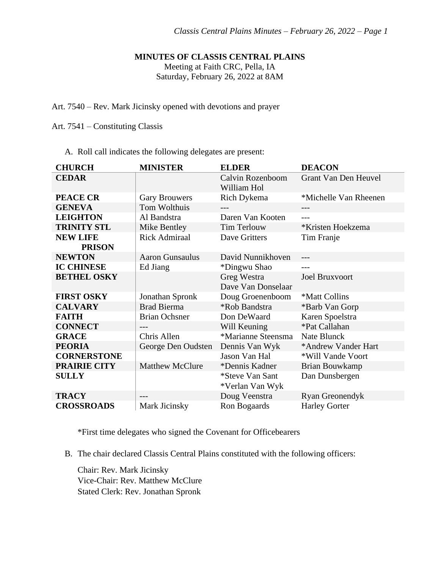### **MINUTES OF CLASSIS CENTRAL PLAINS**

Meeting at Faith CRC, Pella, IA

Saturday, February 26, 2022 at 8AM

Art. 7540 – Rev. Mark Jicinsky opened with devotions and prayer

Art. 7541 – Constituting Classis

A. Roll call indicates the following delegates are present:

| <b>CHURCH</b>       | <b>MINISTER</b>        | <b>ELDER</b>                       | <b>DEACON</b>               |
|---------------------|------------------------|------------------------------------|-----------------------------|
| <b>CEDAR</b>        |                        | Calvin Rozenboom<br>William Hol    | <b>Grant Van Den Heuvel</b> |
| <b>PEACE CR</b>     | <b>Gary Brouwers</b>   | Rich Dykema                        | *Michelle Van Rheenen       |
| <b>GENEVA</b>       | Tom Wolthuis           |                                    |                             |
| <b>LEIGHTON</b>     | Al Bandstra            | Daren Van Kooten                   |                             |
| <b>TRINITY STL</b>  | Mike Bentley           | Tim Terlouw                        | *Kristen Hoekzema           |
| <b>NEW LIFE</b>     | <b>Rick Admiraal</b>   | Dave Gritters                      | Tim Franje                  |
| <b>PRISON</b>       |                        |                                    |                             |
| <b>NEWTON</b>       | <b>Aaron Gunsaulus</b> | David Nunnikhoven                  |                             |
| <b>IC CHINESE</b>   | Ed Jiang               | *Dingwu Shao                       |                             |
| <b>BETHEL OSKY</b>  |                        | Greg Westra<br>Dave Van Donselaar  | <b>Joel Bruxvoort</b>       |
| <b>FIRST OSKY</b>   | Jonathan Spronk        | Doug Groenenboom                   | *Matt Collins               |
| <b>CALVARY</b>      | <b>Brad Bierma</b>     | *Rob Bandstra                      | *Barb Van Gorp              |
| <b>FAITH</b>        | <b>Brian Ochsner</b>   | Don DeWaard                        | Karen Spoelstra             |
| <b>CONNECT</b>      | $---$                  | Will Keuning                       | *Pat Callahan               |
| <b>GRACE</b>        | Chris Allen            | *Marianne Steensma                 | Nate Blunck                 |
| <b>PEORIA</b>       | George Den Oudsten     | Dennis Van Wyk                     | *Andrew Vander Hart         |
| <b>CORNERSTONE</b>  |                        | Jason Van Hal                      | *Will Vande Voort           |
| <b>PRAIRIE CITY</b> | <b>Matthew McClure</b> | *Dennis Kadner                     | Brian Bouwkamp              |
| <b>SULLY</b>        |                        | *Steve Van Sant<br>*Verlan Van Wyk | Dan Dunsbergen              |
| <b>TRACY</b>        | $---$                  | Doug Veenstra                      | Ryan Greonendyk             |
| <b>CROSSROADS</b>   | Mark Jicinsky          | Ron Bogaards                       | <b>Harley Gorter</b>        |

\*First time delegates who signed the Covenant for Officebearers

B. The chair declared Classis Central Plains constituted with the following officers:

Chair: Rev. Mark Jicinsky Vice-Chair: Rev. Matthew McClure Stated Clerk: Rev. Jonathan Spronk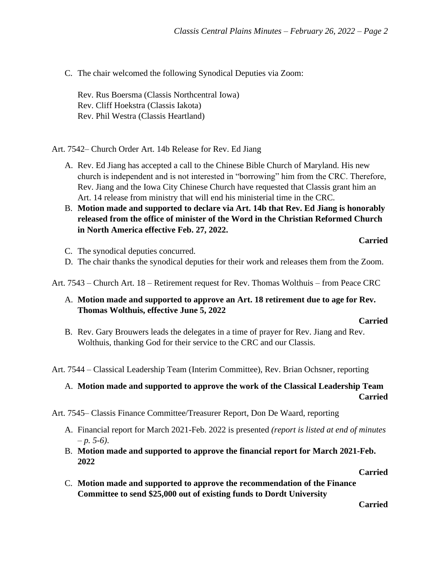C. The chair welcomed the following Synodical Deputies via Zoom:

Rev. Rus Boersma (Classis Northcentral Iowa) Rev. Cliff Hoekstra (Classis Iakota) Rev. Phil Westra (Classis Heartland)

Art. 7542– Church Order Art. 14b Release for Rev. Ed Jiang

- A. Rev. Ed Jiang has accepted a call to the Chinese Bible Church of Maryland. His new church is independent and is not interested in "borrowing" him from the CRC. Therefore, Rev. Jiang and the Iowa City Chinese Church have requested that Classis grant him an Art. 14 release from ministry that will end his ministerial time in the CRC.
- B. **Motion made and supported to declare via Art. 14b that Rev. Ed Jiang is honorably released from the office of minister of the Word in the Christian Reformed Church in North America effective Feb. 27, 2022.**

#### **Carried**

- C. The synodical deputies concurred.
- D. The chair thanks the synodical deputies for their work and releases them from the Zoom.

Art. 7543 – Church Art. 18 – Retirement request for Rev. Thomas Wolthuis – from Peace CRC

A. **Motion made and supported to approve an Art. 18 retirement due to age for Rev. Thomas Wolthuis, effective June 5, 2022**

#### **Carried**

B. Rev. Gary Brouwers leads the delegates in a time of prayer for Rev. Jiang and Rev. Wolthuis, thanking God for their service to the CRC and our Classis.

Art. 7544 – Classical Leadership Team (Interim Committee), Rev. Brian Ochsner, reporting

## A. **Motion made and supported to approve the work of the Classical Leadership Team Carried**

Art. 7545– Classis Finance Committee/Treasurer Report, Don De Waard, reporting

- A. Financial report for March 2021-Feb. 2022 is presented *(report is listed at end of minutes – p. 5-6)*.
- B. **Motion made and supported to approve the financial report for March 2021-Feb. 2022**

### **Carried**

C. **Motion made and supported to approve the recommendation of the Finance Committee to send \$25,000 out of existing funds to Dordt University**

**Carried**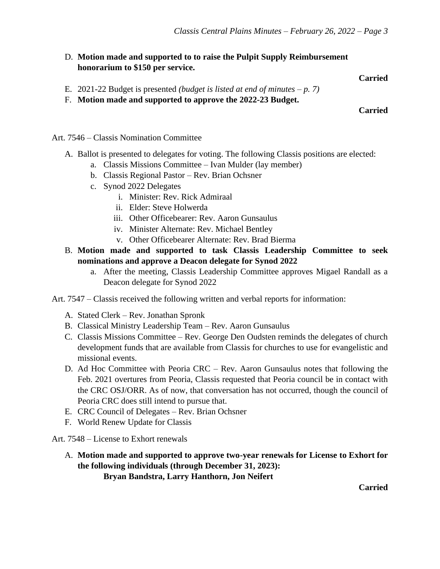D. **Motion made and supported to to raise the Pulpit Supply Reimbursement honorarium to \$150 per service.**

### **Carried**

- E. 2021-22 Budget is presented *(budget is listed at end of minutes p. 7)*
- F. **Motion made and supported to approve the 2022-23 Budget.**

### **Carried**

Art. 7546 – Classis Nomination Committee

- A. Ballot is presented to delegates for voting. The following Classis positions are elected:
	- a. Classis Missions Committee Ivan Mulder (lay member)
	- b. Classis Regional Pastor Rev. Brian Ochsner
	- c. Synod 2022 Delegates
		- i. Minister: Rev. Rick Admiraal
		- ii. Elder: Steve Holwerda
		- iii. Other Officebearer: Rev. Aaron Gunsaulus
		- iv. Minister Alternate: Rev. Michael Bentley
		- v. Other Officebearer Alternate: Rev. Brad Bierma
- B. **Motion made and supported to task Classis Leadership Committee to seek nominations and approve a Deacon delegate for Synod 2022**
	- a. After the meeting, Classis Leadership Committee approves Migael Randall as a Deacon delegate for Synod 2022

Art. 7547 – Classis received the following written and verbal reports for information:

- A. Stated Clerk Rev. Jonathan Spronk
- B. Classical Ministry Leadership Team Rev. Aaron Gunsaulus
- C. Classis Missions Committee Rev. George Den Oudsten reminds the delegates of church development funds that are available from Classis for churches to use for evangelistic and missional events.
- D. Ad Hoc Committee with Peoria CRC Rev. Aaron Gunsaulus notes that following the Feb. 2021 overtures from Peoria, Classis requested that Peoria council be in contact with the CRC OSJ/ORR. As of now, that conversation has not occurred, though the council of Peoria CRC does still intend to pursue that.
- E. CRC Council of Delegates Rev. Brian Ochsner
- F. World Renew Update for Classis

Art. 7548 – License to Exhort renewals

A. **Motion made and supported to approve two-year renewals for License to Exhort for the following individuals (through December 31, 2023): Bryan Bandstra, Larry Hanthorn, Jon Neifert**

**Carried**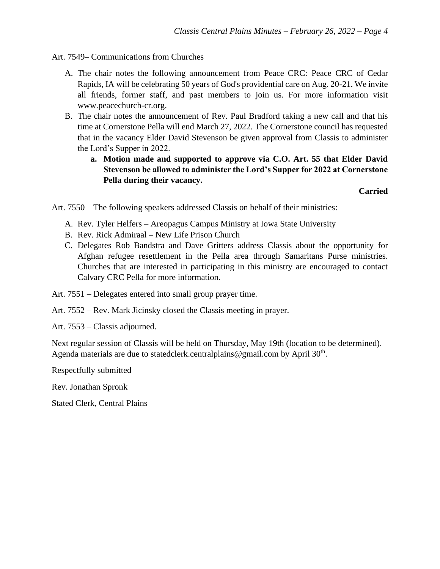Art. 7549– Communications from Churches

- A. The chair notes the following announcement from Peace CRC: Peace CRC of Cedar Rapids, IA will be celebrating 50 years of God's providential care on Aug. 20-21. We invite all friends, former staff, and past members to join us. For more information visit www.peacechurch-cr.org.
- B. The chair notes the announcement of Rev. Paul Bradford taking a new call and that his time at Cornerstone Pella will end March 27, 2022. The Cornerstone council has requested that in the vacancy Elder David Stevenson be given approval from Classis to administer the Lord's Supper in 2022.
	- **a. Motion made and supported to approve via C.O. Art. 55 that Elder David Stevenson be allowed to administer the Lord's Supper for 2022 at Cornerstone Pella during their vacancy.**

**Carried**

Art. 7550 – The following speakers addressed Classis on behalf of their ministries:

- A. Rev. Tyler Helfers Areopagus Campus Ministry at Iowa State University
- B. Rev. Rick Admiraal New Life Prison Church
- C. Delegates Rob Bandstra and Dave Gritters address Classis about the opportunity for Afghan refugee resettlement in the Pella area through Samaritans Purse ministries. Churches that are interested in participating in this ministry are encouraged to contact Calvary CRC Pella for more information.
- Art. 7551 Delegates entered into small group prayer time.
- Art. 7552 Rev. Mark Jicinsky closed the Classis meeting in prayer.
- Art. 7553 Classis adjourned.

Next regular session of Classis will be held on Thursday, May 19th (location to be determined). Agenda materials are due to statedclerk.centralplains@gmail.com by April  $30<sup>th</sup>$ .

Respectfully submitted

Rev. Jonathan Spronk

Stated Clerk, Central Plains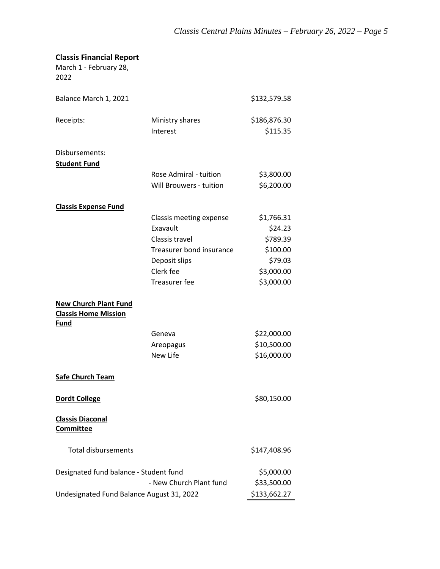# **Classis Financial Report**

March 1 - February 28, 2022

| Balance March 1, 2021                                                      |                             | \$132,579.58             |
|----------------------------------------------------------------------------|-----------------------------|--------------------------|
| Receipts:                                                                  | Ministry shares<br>Interest | \$186,876.30<br>\$115.35 |
| Disbursements:                                                             |                             |                          |
| <b>Student Fund</b>                                                        |                             |                          |
|                                                                            | Rose Admiral - tuition      | \$3,800.00               |
|                                                                            | Will Brouwers - tuition     | \$6,200.00               |
| <b>Classis Expense Fund</b>                                                |                             |                          |
|                                                                            | Classis meeting expense     | \$1,766.31               |
|                                                                            | Exavault                    | \$24.23                  |
|                                                                            | Classis travel              | \$789.39                 |
|                                                                            | Treasurer bond insurance    | \$100.00                 |
|                                                                            | Deposit slips               | \$79.03                  |
|                                                                            | Clerk fee                   | \$3,000.00               |
|                                                                            | <b>Treasurer fee</b>        | \$3,000.00               |
| <b>New Church Plant Fund</b><br><b>Classis Home Mission</b><br><b>Fund</b> |                             |                          |
|                                                                            | Geneva                      | \$22,000.00              |
|                                                                            | Areopagus                   | \$10,500.00              |
|                                                                            | New Life                    | \$16,000.00              |
| <b>Safe Church Team</b>                                                    |                             |                          |
| <b>Dordt College</b>                                                       |                             | \$80,150.00              |
| <b>Classis Diaconal</b><br><b>Committee</b>                                |                             |                          |
| <b>Total disbursements</b>                                                 |                             | \$147,408.96             |
| Designated fund balance - Student fund                                     |                             | \$5,000.00               |
|                                                                            | - New Church Plant fund     | \$33,500.00              |
| Undesignated Fund Balance August 31, 2022                                  |                             | \$133,662.27             |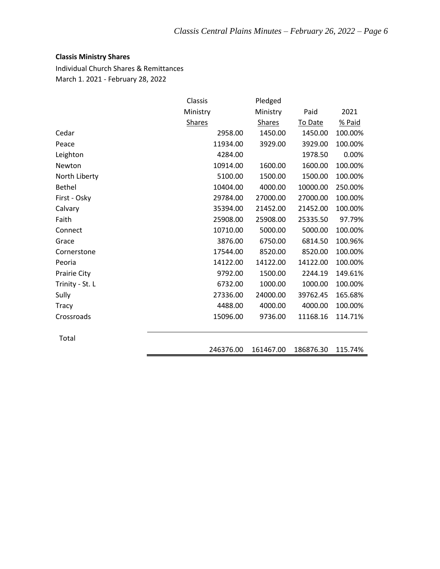## **Classis Ministry Shares**

Individual Church Shares & Remittances March 1. 2021 - February 28, 2022

|                     | Classis       | Pledged       |           |         |
|---------------------|---------------|---------------|-----------|---------|
|                     | Ministry      | Ministry      | Paid      | 2021    |
|                     | <b>Shares</b> | <b>Shares</b> | To Date   | % Paid  |
| Cedar               | 2958.00       | 1450.00       | 1450.00   | 100.00% |
| Peace               | 11934.00      | 3929.00       | 3929.00   | 100.00% |
| Leighton            | 4284.00       |               | 1978.50   | 0.00%   |
| Newton              | 10914.00      | 1600.00       | 1600.00   | 100.00% |
| North Liberty       | 5100.00       | 1500.00       | 1500.00   | 100.00% |
| <b>Bethel</b>       | 10404.00      | 4000.00       | 10000.00  | 250.00% |
| First - Osky        | 29784.00      | 27000.00      | 27000.00  | 100.00% |
| Calvary             | 35394.00      | 21452.00      | 21452.00  | 100.00% |
| Faith               | 25908.00      | 25908.00      | 25335.50  | 97.79%  |
| Connect             | 10710.00      | 5000.00       | 5000.00   | 100.00% |
| Grace               | 3876.00       | 6750.00       | 6814.50   | 100.96% |
| Cornerstone         | 17544.00      | 8520.00       | 8520.00   | 100.00% |
| Peoria              | 14122.00      | 14122.00      | 14122.00  | 100.00% |
| <b>Prairie City</b> | 9792.00       | 1500.00       | 2244.19   | 149.61% |
| Trinity - St. L     | 6732.00       | 1000.00       | 1000.00   | 100.00% |
| Sully               | 27336.00      | 24000.00      | 39762.45  | 165.68% |
| <b>Tracy</b>        | 4488.00       | 4000.00       | 4000.00   | 100.00% |
| Crossroads          | 15096.00      | 9736.00       | 11168.16  | 114.71% |
| Total               |               |               |           |         |
|                     | 246376.00     | 161467.00     | 186876.30 | 115.74% |